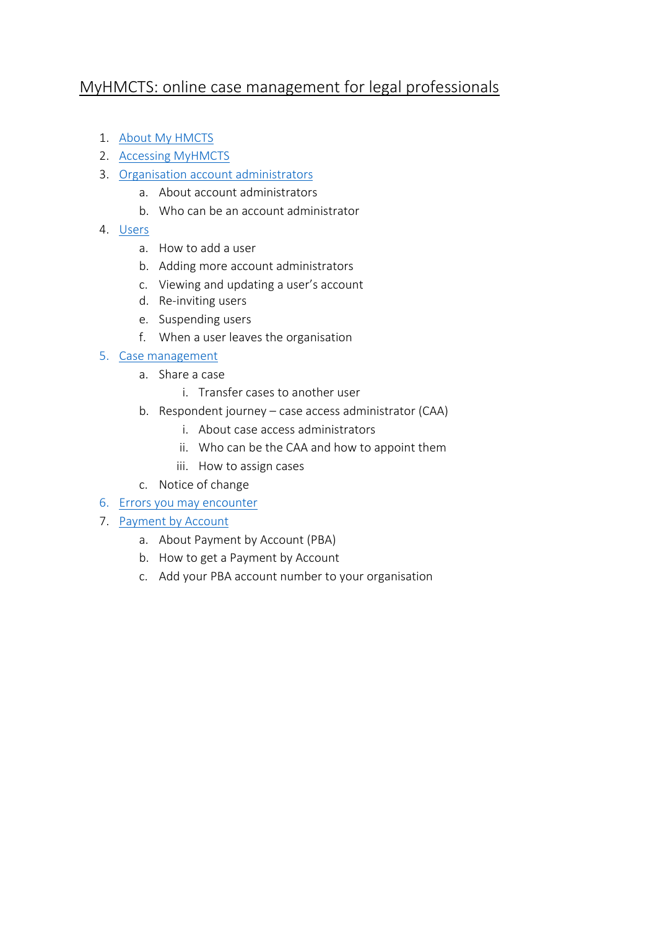## MyHMCTS: online case management for legal professionals

- 1. About [My HMCTS](#page-1-0)
- 2. [Accessing MyHMCTS](#page-1-1)
- 3. [Organisation account](#page-4-0) administrators
	- a. About account administrators
	- b. Who can be an account administrator
- 4. [Users](#page-5-0)
	- a. How to add a user
	- b. Adding more account administrators
	- c. Viewing and updating a user's account
	- d. Re-inviting users
	- e. Suspending users
	- f. When a user leaves the organisation
- 5. [Case management](#page-8-0)
	- a. Share a case
		- i. Transfer cases to another user
	- b. Respondent journey case access administrator (CAA)
		- i. About case access administrators
		- ii. Who can be the CAA and how to appoint them
		- iii. How to assign cases
	- c. Notice of change
- 6. [Errors you may encounter](#page-11-0)
- 7. [Payment by Account](#page-12-0)
	- a. About Payment by Account (PBA)
	- b. How to get a Payment by Account
	- c. Add your PBA account number to your organisation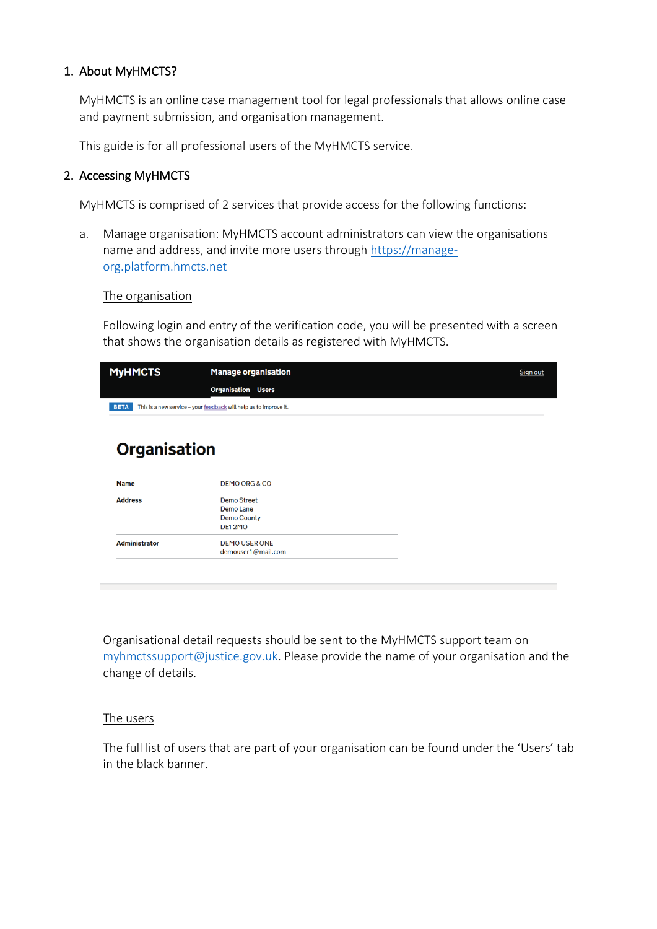## <span id="page-1-0"></span>1. About MyHMCTS?

MyHMCTS is an online case management tool for legal professionals that allows online case and payment submission, and organisation management.

This guide is for all professional users of the MyHMCTS service.

## <span id="page-1-1"></span>2. Accessing MyHMCTS

MyHMCTS is comprised of 2 services that provide access for the following functions:

a. Manage organisation: MyHMCTS account administrators can view the organisations name and address, and invite more users through [https://manage](https://manage-org.platform.hmcts.net/)[org.platform.hmcts.net](https://manage-org.platform.hmcts.net/)

### The organisation

Following login and entry of the verification code, you will be presented with a screen that shows the organisation details as registered with MyHMCTS.

| <b>MyHMCTS</b> | <b>Manage organisation</b>                                        | Sign out |
|----------------|-------------------------------------------------------------------|----------|
|                | <b>Organisation Users</b>                                         |          |
| <b>BETA</b>    | This is a new service - your feedback will help us to improve it. |          |

# **Organisation**

| <b>Name</b>    | DEMO ORG & CO                                                   |
|----------------|-----------------------------------------------------------------|
| <b>Address</b> | Demo Street<br>Demo Lane<br><b>Demo County</b><br><b>DE12MO</b> |
| Administrator  | DEMO USER ONE<br>demouser1@mail.com                             |

Organisational detail requests should be sent to the MyHMCTS support team on [myhmctssupport@justice.gov.uk.](mailto:myhmctssupport@justice.gov.uk) Please provide the name of your organisation and the change of details.

## The users

The full list of users that are part of your organisation can be found under the 'Users' tab in the black banner.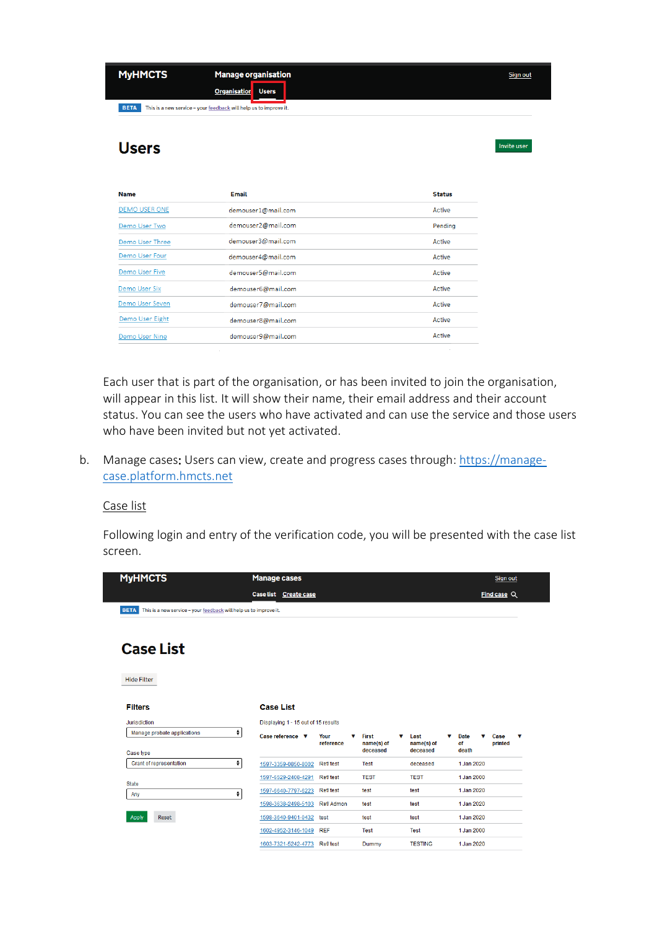| <b>MyHMCTS</b> | <b>Manage organisation</b><br><b>Organisation</b><br><b>Users</b> | Sign out     |
|----------------|-------------------------------------------------------------------|--------------|
| <b>BETA</b>    | This is a new service - your feedback will help us to improve it. |              |
| <b>Users</b>   |                                                                   | Invite user  |
| <b>Namo</b>    | Email                                                             | $C + 4 + 10$ |

| <b>Name</b>          | Email              | <b>Status</b> |
|----------------------|--------------------|---------------|
| <b>DEMO USER ONE</b> | demouser1@mail.com | Active        |
| Demo User Two        | demouser2@mail.com | Pending       |
| Demo User Three      | demouser3@mail.com | Active        |
| Demo User Four       | demouser4@mail.com | Active        |
| Demo User Five       | demouser5@mail.com | Active        |
| Demo User Six        | demouser6@mail.com | Active        |
| Demo User Seven      | demouser7@mail.com | Active        |
| Demo User Eight      | demouser8@mail.com | Active        |
| Demo User Nine       | demouser9@mail.com | Active        |

Each user that is part of the organisation, or has been invited to join the organisation, will appear in this list. It will show their name, their email address and their account status. You can see the users who have activated and can use the service and those users who have been invited but not yet activated.

b. Manage cases: Users can view, create and progress cases through: [https://manage](https://manage-case.platform.hmcts.net/)[case.platform.hmcts.net](https://manage-case.platform.hmcts.net/)

Case list

Following login and entry of the verification code, you will be presented with the case list screen.

| <b>MyHMCTS</b>                                                                   | <b>Manage cases</b>                 |                        |                            |                         | Sign out                                            |
|----------------------------------------------------------------------------------|-------------------------------------|------------------------|----------------------------|-------------------------|-----------------------------------------------------|
|                                                                                  | Case list Create case               |                        |                            |                         | Find case Q                                         |
| This is a new service - your feedback will help us to improve it.<br><b>BETA</b> |                                     |                        |                            |                         |                                                     |
| <b>Case List</b>                                                                 |                                     |                        |                            |                         |                                                     |
| <b>Hide Filter</b>                                                               |                                     |                        |                            |                         |                                                     |
| <b>Filters</b>                                                                   | <b>Case List</b>                    |                        |                            |                         |                                                     |
| Jurisdiction                                                                     | Displaying 1 - 15 out of 15 results |                        |                            |                         |                                                     |
| Manage probate applications                                                      | ÷<br>Case reference $\mathbf v$     | Your<br>v<br>reference | <b>First</b><br>name(s) of | Last<br>v<br>name(s) of | <b>Date</b><br>Case<br>v<br>v<br>v<br>of<br>printed |
| Case type                                                                        |                                     |                        | deceased                   | deceased                | death                                               |
| Grant of representation                                                          | $\bullet$<br>1597-3359-0850-8002    | Ref/test               | <b>Test</b>                | deceased                | 1.Jan 2020                                          |
| <b>State</b>                                                                     | 1597-6529-2408-4291                 | Ref/test               | <b>TEST</b>                | <b>TEST</b>             | 1 Jan 2000                                          |
| Any                                                                              | 1597-6640-7797-6223<br>٠            | Ref/test               | test                       | test                    | 1 Jan 2020                                          |
|                                                                                  | 1598-3638-2498-5103                 | Ref/Admon              | test                       | test                    | 1 Jan 2020                                          |
| Apply<br>Reset                                                                   | 1598-3640-9401-0432                 | test                   | test                       | test                    | 1 Jan 2020                                          |
|                                                                                  | 1602-4952-3146-1049                 | <b>REF</b>             | <b>Test</b>                | <b>Test</b>             | 1 Jan 2000                                          |
|                                                                                  | 1603-7321-5242-4773                 | Ref/test               | Dummy                      | <b>TESTING</b>          | 1 Jan 2020                                          |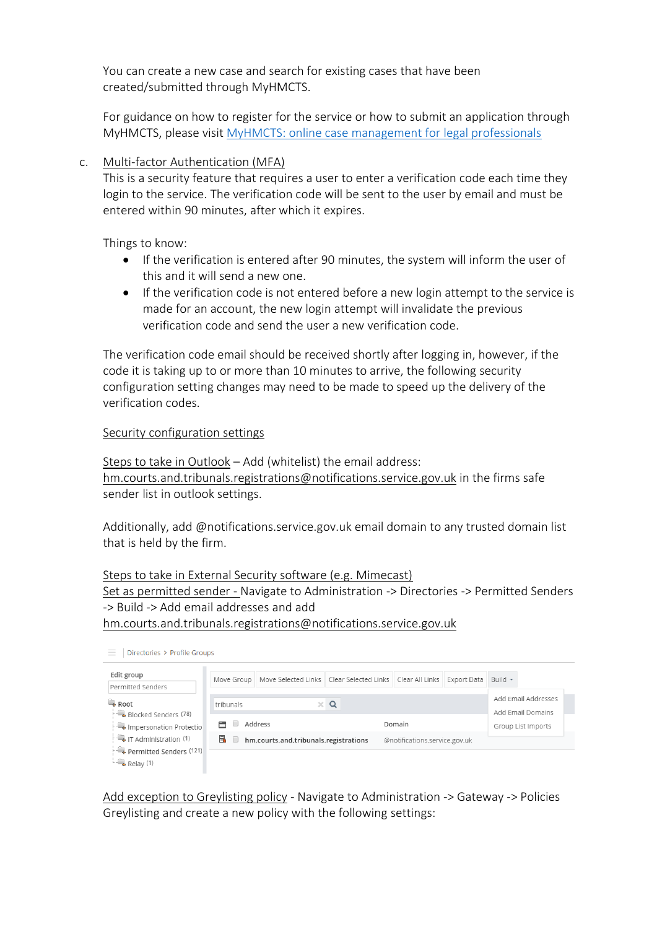You can create a new case and search for existing cases that have been created/submitted through MyHMCTS.

For guidance on how to register for the service or how to submit an application through MyHMCTS, please visit [MyHMCTS: online case management for legal professionals](https://www.gov.uk/guidance/myhmcts-online-case-management-for-legal-professionals)

## c. Multi-factor Authentication (MFA)

This is a security feature that requires a user to enter a verification code each time they login to the service. The verification code will be sent to the user by email and must be entered within 90 minutes, after which it expires.

Things to know:

- If the verification is entered after 90 minutes, the system will inform the user of this and it will send a new one.
- If the verification code is not entered before a new login attempt to the service is made for an account, the new login attempt will invalidate the previous verification code and send the user a new verification code.

The verification code email should be received shortly after logging in, however, if the code it is taking up to or more than 10 minutes to arrive, the following security configuration setting changes may need to be made to speed up the delivery of the verification codes.

## Security configuration settings

Steps to take in Outlook – Add (whitelist) the email address: [hm.courts.and.tribunals.registrations@notifications.service.gov.uk](mailto:hm.courts.and.tribunals.registrations@notifications.service.gov.uk) in the firms safe sender list in outlook settings.

Additionally, add @notifications.service.gov.uk email domain to any trusted domain list that is held by the firm.

Steps to take in External Security software (e.g. Mimecast) Set as permitted sender - Navigate to Administration -> Directories -> Permitted Senders -> Build -> Add email addresses and add [hm.courts.and.tribunals.registrations@notifications.service.gov.uk](mailto:hm.courts.and.tribunals.registrations@notifications.service.gov.uk)



Add exception to Greylisting policy - Navigate to Administration -> Gateway -> Policies Greylisting and create a new policy with the following settings: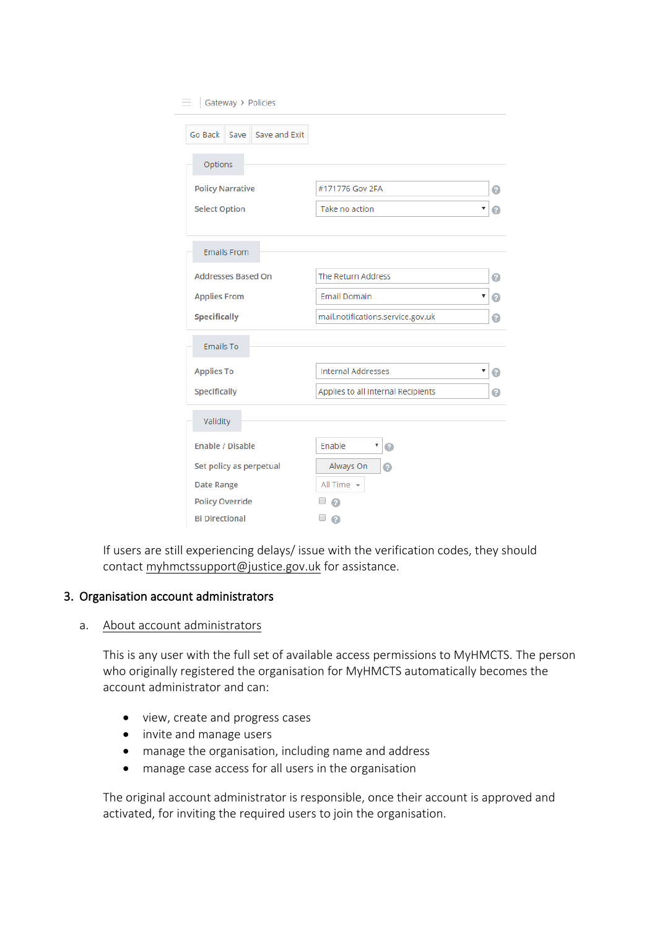| Gateway > Policies<br>$=$                       |                                    |        |
|-------------------------------------------------|------------------------------------|--------|
| Save and Exit<br>Go Back<br>Save                |                                    |        |
| Options                                         |                                    |        |
| <b>Policy Narrative</b>                         | #171776 Gov 2FA                    | 0      |
| <b>Select Option</b>                            | Take no action                     | ▼<br>o |
| <b>Emails From</b>                              |                                    |        |
| <b>Addresses Based On</b>                       | The Return Address                 | ø      |
| <b>Applies From</b>                             | <b>Email Domain</b>                | ۷<br>0 |
| <b>Specifically</b>                             | mail.notifications.service.gov.uk  | ◉      |
| <b>Emails To</b>                                |                                    |        |
| <b>Applies To</b>                               | <b>Internal Addresses</b>          | ▼<br>n |
| Specifically                                    | Applies to all Internal Recipients | Q      |
| Validity                                        |                                    |        |
| <b>Enable / Disable</b>                         | Enable<br>▼<br>0                   |        |
| Set policy as perpetual                         | Always On<br>⋒                     |        |
| <b>Date Range</b>                               | All Time $\sim$                    |        |
| <b>Policy Override</b><br><b>Bi Directional</b> | ⋒                                  |        |
|                                                 | a                                  |        |

If users are still experiencing delays/ issue with the verification codes, they should contact [myhmctssupport@justice.gov.uk](mailto:myhmctssupport@justice.gov.uk) for assistance.

## <span id="page-4-0"></span>3. Organisation account administrators

## a. About account administrators

This is any user with the full set of available access permissions to MyHMCTS. The person who originally registered the organisation for MyHMCTS automatically becomes the account administrator and can:

- view, create and progress cases
- invite and manage users
- manage the organisation, including name and address
- manage case access for all users in the organisation

The original account administrator is responsible, once their account is approved and activated, for inviting the required users to join the organisation.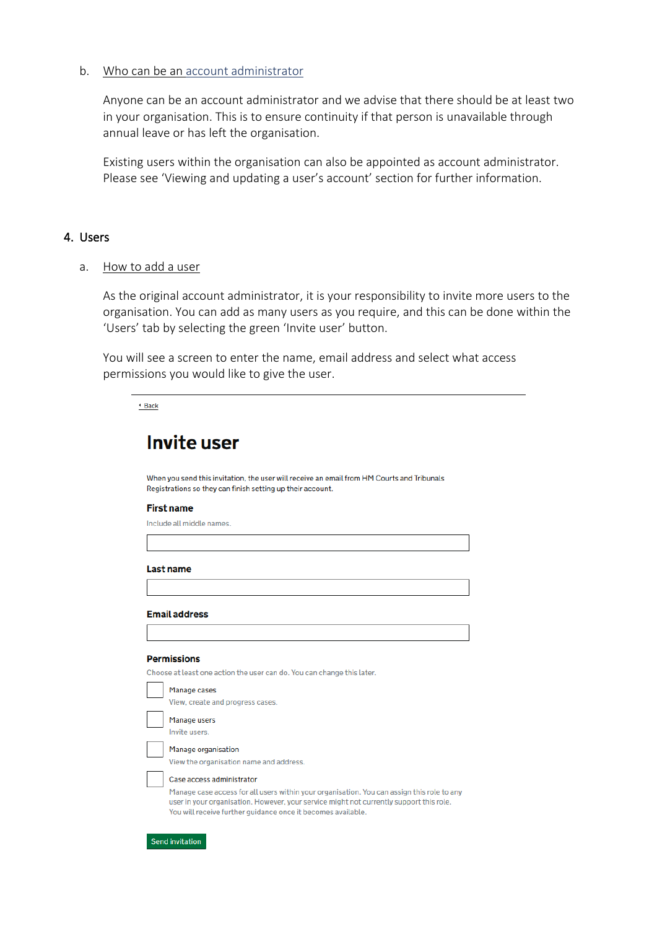### b. Who can be an account administrator

Anyone can be an account administrator and we advise that there should be at least two in your organisation. This is to ensure continuity if that person is unavailable through annual leave or has left the organisation.

Existing users within the organisation can also be appointed as account administrator. Please see 'Viewing and updating a user's account' section for further information.

### <span id="page-5-0"></span>4. Users

a. How to add a user

As the original account administrator, it is your responsibility to invite more users to the organisation. You can add as many users as you require, and this can be done within the 'Users' tab by selecting the green 'Invite user' button.

You will see a screen to enter the name, email address and select what access permissions you would like to give the user.

| . |  |
|---|--|
|   |  |

# **Invite user**

When you send this invitation, the user will receive an email from HM Courts and Tribunals Registrations so they can finish setting up their account.

#### **First name**

Include all middle names.

**Last name** 

#### **Email address**

#### **Permissions**

Choose at least one action the user can do. You can change this later.

| Manage cases                                                                                                                                                                                                                                                                       |
|------------------------------------------------------------------------------------------------------------------------------------------------------------------------------------------------------------------------------------------------------------------------------------|
| View, create and progress cases.                                                                                                                                                                                                                                                   |
| Manage users<br>Invite users.                                                                                                                                                                                                                                                      |
| Manage organisation<br>View the organisation name and address.                                                                                                                                                                                                                     |
| Case access administrator<br>Manage case access for all users within your organisation. You can assign this role to any<br>user in your organisation. However, your service might not currently support this role.<br>You will receive further quidance once it becomes available. |

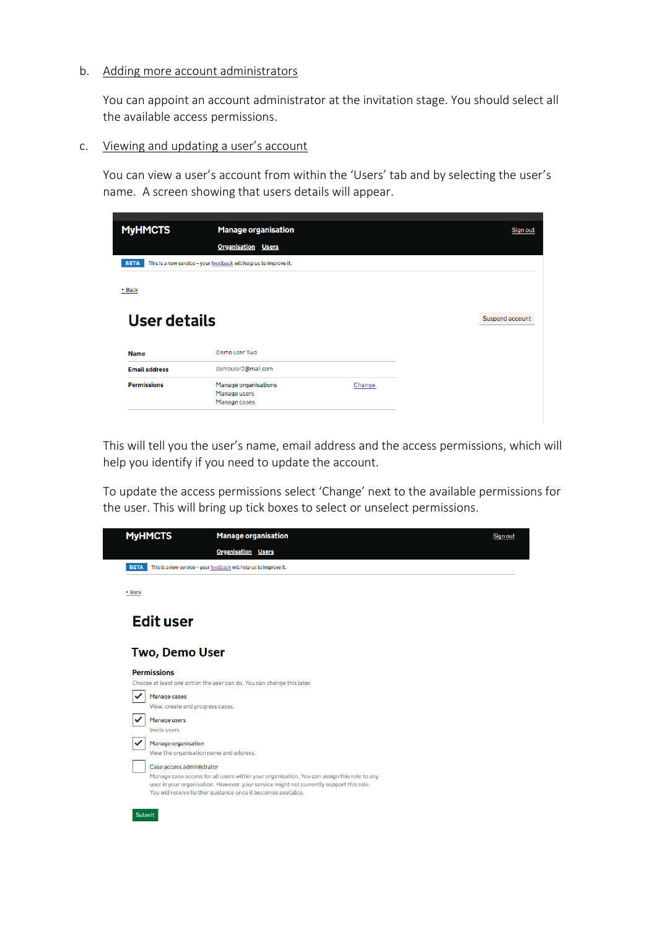### b. Adding more account administrators

You can appoint an account administrator at the invitation stage. You should select all the available access permissions.

#### c. Viewing and updating a user's account

You can view a user's account from within the 'Users' tab and by selecting the user's name. A screen showing that users details will appear.

| <b>MyHMCTS</b>       | <b>Manage organisation</b>                                        |        | Sign out        |
|----------------------|-------------------------------------------------------------------|--------|-----------------|
|                      | <b>Organisation Users</b>                                         |        |                 |
| <b>BETA</b>          | This is a new service - your feedback will help us to improve it. |        |                 |
| <sup>4</sup> Back    |                                                                   |        |                 |
| User details         |                                                                   |        | Suspend account |
| <b>Name</b>          | Demo User Two                                                     |        |                 |
| <b>Email address</b> | demouser2@mail.com                                                |        |                 |
|                      |                                                                   | Change |                 |
| <b>Permissions</b>   | Manage organisations<br>Manage users<br>Manage cases              |        |                 |

This will tell you the user's name, email address and the access permissions, which will help you identify if you need to update the account.

To update the access permissions select 'Change' next to the available permissions for the user. This will bring up tick boxes to select or unselect permissions.

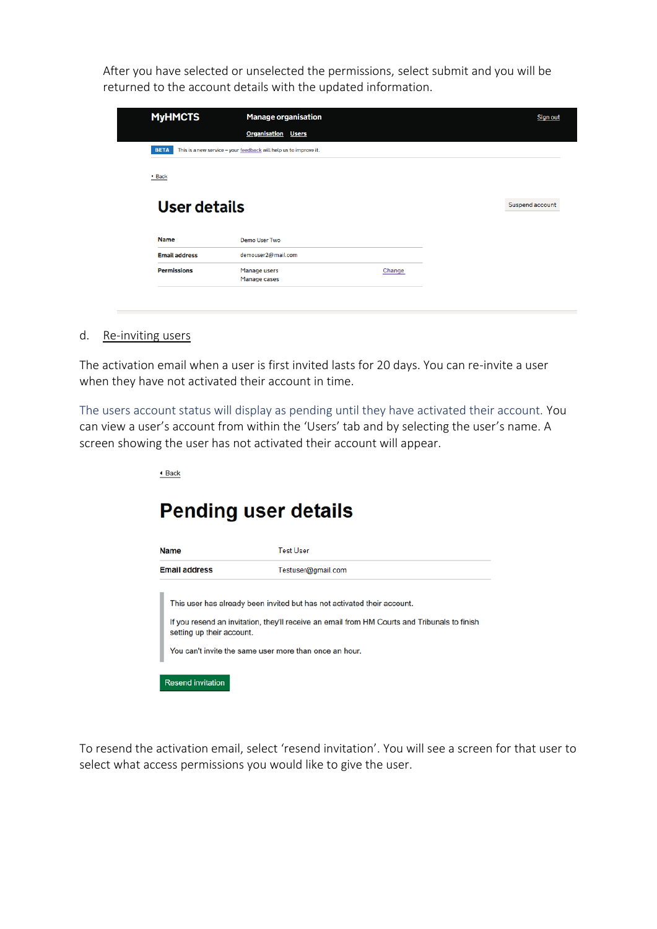After you have selected or unselected the permissions, select submit and you will be returned to the account details with the updated information.

| <b>MyHMCTS</b>       | <b>Manage organisation</b>                                        | Sign out        |
|----------------------|-------------------------------------------------------------------|-----------------|
|                      | <b>Organisation Users</b>                                         |                 |
| <b>BETA</b>          | This is a new service - your feedback will help us to improve it. |                 |
|                      |                                                                   |                 |
| <sup>4</sup> Back    |                                                                   |                 |
|                      |                                                                   |                 |
| User details         |                                                                   | Suspend account |
| <b>Name</b>          | <b>Demo User Two</b>                                              |                 |
| <b>Email address</b> | demouser2@mail.com                                                |                 |

d. Re-inviting users

The activation email when a user is first invited lasts for 20 days. You can re-invite a user when they have not activated their account in time.

The users account status will display as pending until they have activated their account. You can view a user's account from within the 'Users' tab and by selecting the user's name. A screen showing the user has not activated their account will appear.

◆ Back

# **Pending user details**

| <b>Name</b>                                                                         | <b>Test User</b>                                                                                                                                                        |
|-------------------------------------------------------------------------------------|-------------------------------------------------------------------------------------------------------------------------------------------------------------------------|
| <b>Email address</b>                                                                | Testuser@gmail.com                                                                                                                                                      |
| setting up their account.<br>You can't invite the same user more than once an hour. | This user has already been invited but has not activated their account.<br>If you resend an invitation, they'll receive an email from HM Courts and Tribunals to finish |
| <b>Resend invitation</b>                                                            |                                                                                                                                                                         |

To resend the activation email, select 'resend invitation'. You will see a screen for that user to select what access permissions you would like to give the user.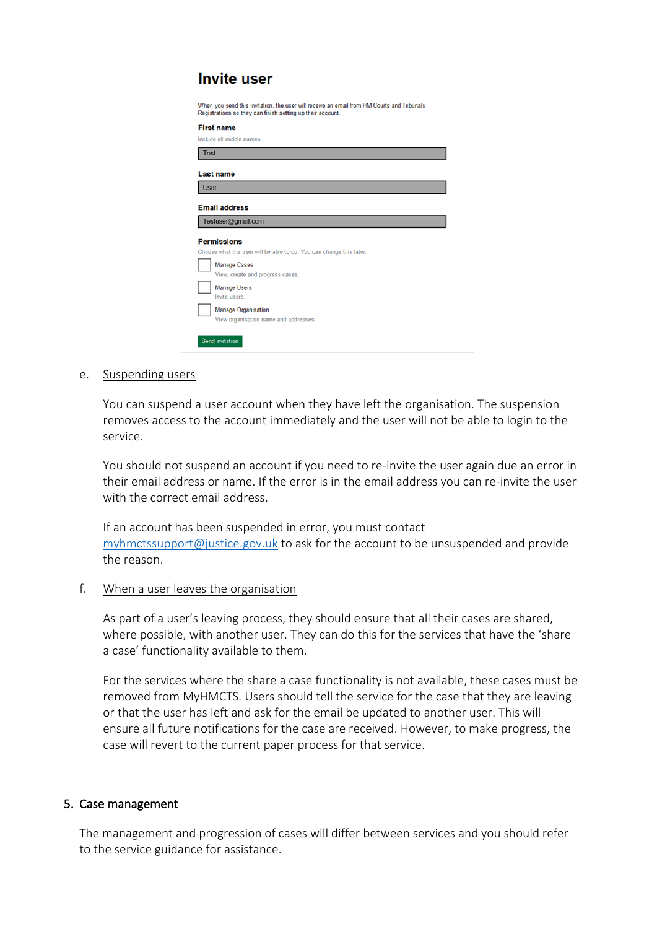| <b>Invite user</b>                                                                                                                                       |
|----------------------------------------------------------------------------------------------------------------------------------------------------------|
| When you send this invitation, the user will receive an email from HM Courts and Tribunals<br>Registrations so they can finish setting up their account. |
| <b>First name</b><br>Include all middle names.                                                                                                           |
| <b>Test</b>                                                                                                                                              |
| Last name<br><b>User</b>                                                                                                                                 |
| <b>Email address</b><br>Testuser@gmail.com                                                                                                               |
| <b>Permissions</b><br>Choose what the user will be able to do. You can change this later.<br><b>Manage Cases</b>                                         |
| View, create and progress cases.<br><b>Manage Users</b>                                                                                                  |
| Invite users.<br>Manage Organisation<br>View organisation name and addresses.                                                                            |
| <b>Send invitation</b>                                                                                                                                   |

e. Suspending users

You can suspend a user account when they have left the organisation. The suspension removes access to the account immediately and the user will not be able to login to the service.

You should not suspend an account if you need to re-invite the user again due an error in their email address or name. If the error is in the email address you can re-invite the user with the correct email address.

If an account has been suspended in error, you must contact [myhmctssupport@justice.gov.uk](mailto:myhmctssupport@justice.gov.uk) to ask for the account to be unsuspended and provide the reason.

#### f. When a user leaves the organisation

As part of a user's leaving process, they should ensure that all their cases are shared, where possible, with another user. They can do this for the services that have the 'share a case' functionality available to them.

For the services where the share a case functionality is not available, these cases must be removed from MyHMCTS. Users should tell the service for the case that they are leaving or that the user has left and ask for the email be updated to another user. This will ensure all future notifications for the case are received. However, to make progress, the case will revert to the current paper process for that service.

#### <span id="page-8-0"></span>5. Case management

The management and progression of cases will differ between services and you should refer to the service guidance for assistance.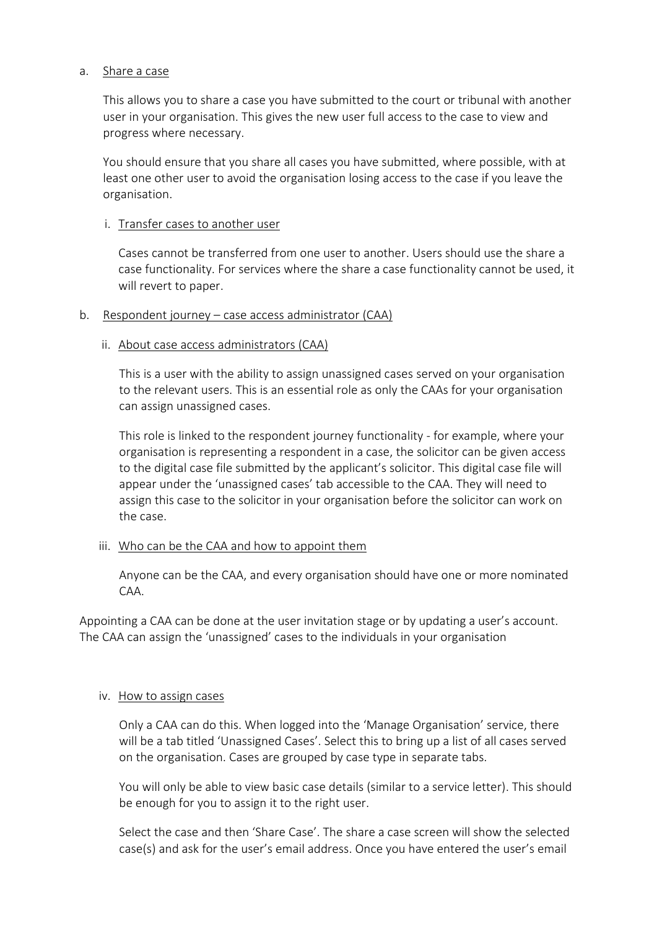## a. Share a case

This allows you to share a case you have submitted to the court or tribunal with another user in your organisation. This gives the new user full access to the case to view and progress where necessary.

You should ensure that you share all cases you have submitted, where possible, with at least one other user to avoid the organisation losing access to the case if you leave the organisation.

## i. Transfer cases to another user

Cases cannot be transferred from one user to another. Users should use the share a case functionality. For services where the share a case functionality cannot be used, it will revert to paper.

## b. Respondent journey – case access administrator (CAA)

### ii. About case access administrators (CAA)

This is a user with the ability to assign unassigned cases served on your organisation to the relevant users. This is an essential role as only the CAAs for your organisation can assign unassigned cases.

This role is linked to the respondent journey functionality - for example, where your organisation is representing a respondent in a case, the solicitor can be given access to the digital case file submitted by the applicant's solicitor. This digital case file will appear under the 'unassigned cases' tab accessible to the CAA. They will need to assign this case to the solicitor in your organisation before the solicitor can work on the case.

## iii. Who can be the CAA and how to appoint them

Anyone can be the CAA, and every organisation should have one or more nominated CAA.

Appointing a CAA can be done at the user invitation stage or by updating a user's account. The CAA can assign the 'unassigned' cases to the individuals in your organisation

## iv. How to assign cases

Only a CAA can do this. When logged into the 'Manage Organisation' service, there will be a tab titled 'Unassigned Cases'. Select this to bring up a list of all cases served on the organisation. Cases are grouped by case type in separate tabs.

You will only be able to view basic case details (similar to a service letter). This should be enough for you to assign it to the right user.

Select the case and then 'Share Case'. The share a case screen will show the selected case(s) and ask for the user's email address. Once you have entered the user's email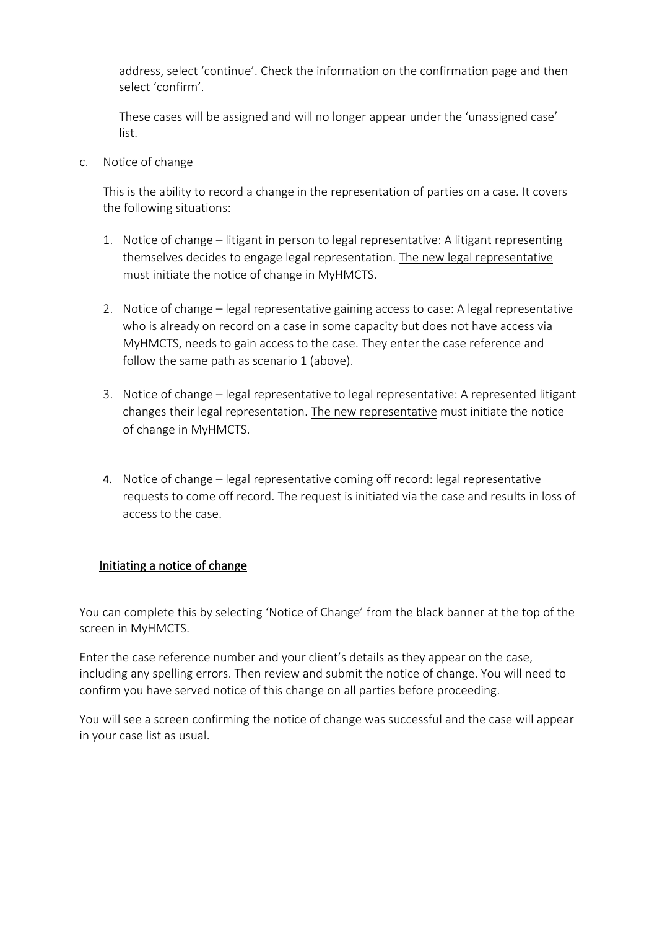address, select 'continue'. Check the information on the confirmation page and then select 'confirm'.

These cases will be assigned and will no longer appear under the 'unassigned case' list.

## c. Notice of change

This is the ability to record a change in the representation of parties on a case. It covers the following situations:

- 1. Notice of change litigant in person to legal representative: A litigant representing themselves decides to engage legal representation. The new legal representative must initiate the notice of change in MyHMCTS.
- 2. Notice of change legal representative gaining access to case: A legal representative who is already on record on a case in some capacity but does not have access via MyHMCTS, needs to gain access to the case. They enter the case reference and follow the same path as scenario 1 (above).
- 3. Notice of change legal representative to legal representative: A represented litigant changes their legal representation. The new representative must initiate the notice of change in MyHMCTS.
- 4. Notice of change legal representative coming off record: legal representative requests to come off record. The request is initiated via the case and results in loss of access to the case.

## Initiating a notice of change

You can complete this by selecting 'Notice of Change' from the black banner at the top of the screen in MyHMCTS.

Enter the case reference number and your client's details as they appear on the case, including any spelling errors. Then review and submit the notice of change. You will need to confirm you have served notice of this change on all parties before proceeding.

You will see a screen confirming the notice of change was successful and the case will appear in your case list as usual.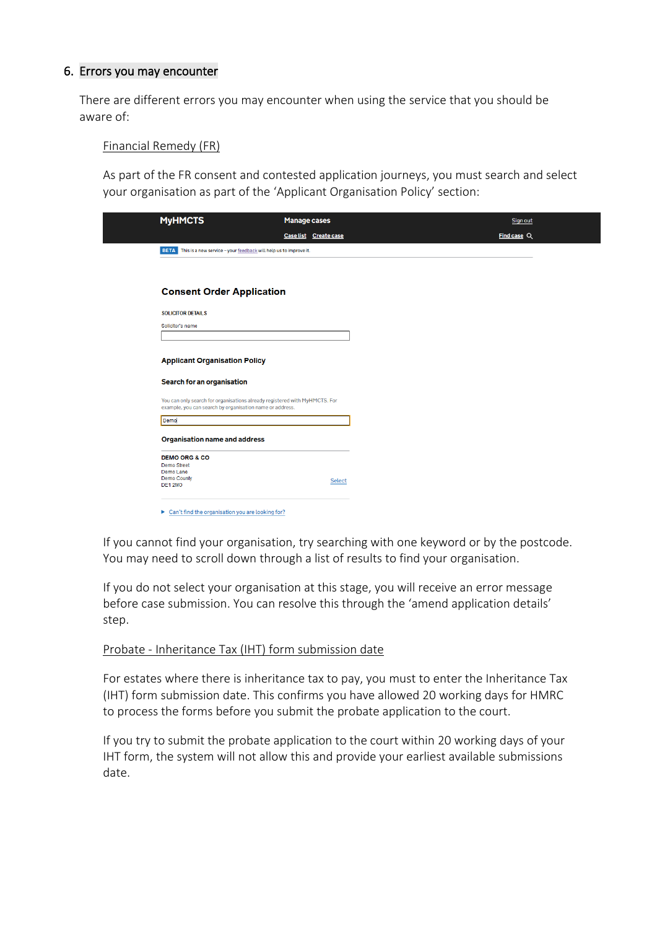## <span id="page-11-0"></span>6. Errors you may encounter

There are different errors you may encounter when using the service that you should be aware of:

## Financial Remedy (FR)

As part of the FR consent and contested application journeys, you must search and select your organisation as part of the 'Applicant Organisation Policy' section:

| <b>MyHMCTS</b>                                                         | <b>Manage cases</b>                                                        | Sign out             |
|------------------------------------------------------------------------|----------------------------------------------------------------------------|----------------------|
|                                                                        | Case list Create case                                                      | <b>Find case</b> $Q$ |
| BETA This is a new service - your feedback will help us to improve it. |                                                                            |                      |
|                                                                        |                                                                            |                      |
| <b>Consent Order Application</b>                                       |                                                                            |                      |
| <b>SOLICITOR DETAILS</b>                                               |                                                                            |                      |
| Solicitor's name                                                       |                                                                            |                      |
|                                                                        |                                                                            |                      |
| <b>Applicant Organisation Policy</b>                                   |                                                                            |                      |
| Search for an organisation                                             |                                                                            |                      |
| example, you can search by organisation name or address.               | You can only search for organisations already registered with MyHMCTS. For |                      |
| Demo                                                                   |                                                                            |                      |
| <b>Organisation name and address</b>                                   |                                                                            |                      |
| <b>DEMO ORG &amp; CO</b>                                               |                                                                            |                      |
|                                                                        |                                                                            |                      |
| Demo Street<br>Demo Lane<br><b>Demo County</b>                         |                                                                            |                      |

If you cannot find your organisation, try searching with one keyword or by the postcode. You may need to scroll down through a list of results to find your organisation.

If you do not select your organisation at this stage, you will receive an error message before case submission. You can resolve this through the 'amend application details' step.

## Probate - Inheritance Tax (IHT) form submission date

For estates where there is inheritance tax to pay, you must to enter the Inheritance Tax (IHT) form submission date. This confirms you have allowed 20 working days for HMRC to process the forms before you submit the probate application to the court.

If you try to submit the probate application to the court within 20 working days of your IHT form, the system will not allow this and provide your earliest available submissions date.